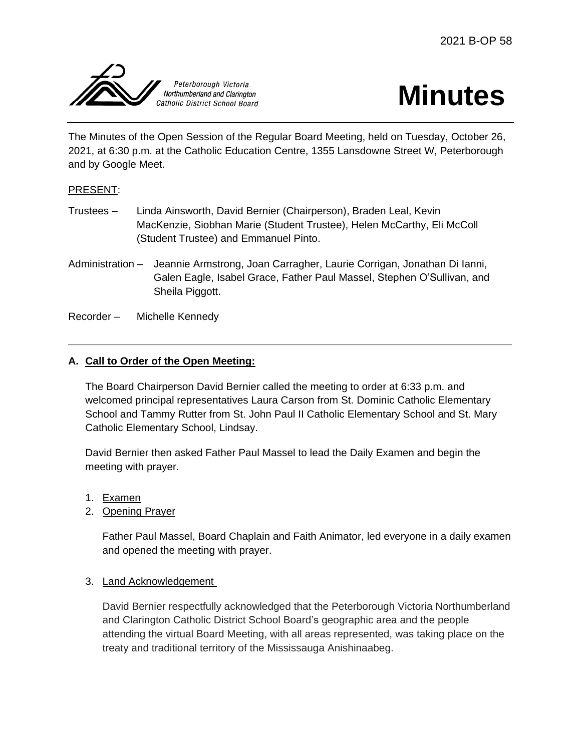



The Minutes of the Open Session of the Regular Board Meeting, held on Tuesday, October 26, 2021, at 6:30 p.m. at the Catholic Education Centre, 1355 Lansdowne Street W, Peterborough and by Google Meet.

# PRESENT:

- Trustees Linda Ainsworth, David Bernier (Chairperson), Braden Leal, Kevin MacKenzie, Siobhan Marie (Student Trustee), Helen McCarthy, Eli McColl (Student Trustee) and Emmanuel Pinto.
- Administration Jeannie Armstrong, Joan Carragher, Laurie Corrigan, Jonathan Di Ianni, Galen Eagle, Isabel Grace, Father Paul Massel, Stephen O'Sullivan, and Sheila Piggott.

Recorder – Michelle Kennedy

# **A. Call to Order of the Open Meeting:**

The Board Chairperson David Bernier called the meeting to order at 6:33 p.m. and welcomed principal representatives Laura Carson from St. Dominic Catholic Elementary School and Tammy Rutter from St. John Paul II Catholic Elementary School and St. Mary Catholic Elementary School, Lindsay.

David Bernier then asked Father Paul Massel to lead the Daily Examen and begin the meeting with prayer.

- 1. Examen
- 2. Opening Prayer

Father Paul Massel, Board Chaplain and Faith Animator, led everyone in a daily examen and opened the meeting with prayer.

### 3. Land Acknowledgement

David Bernier respectfully acknowledged that the Peterborough Victoria Northumberland and Clarington Catholic District School Board's geographic area and the people attending the virtual Board Meeting, with all areas represented, was taking place on the treaty and traditional territory of the Mississauga Anishinaabeg.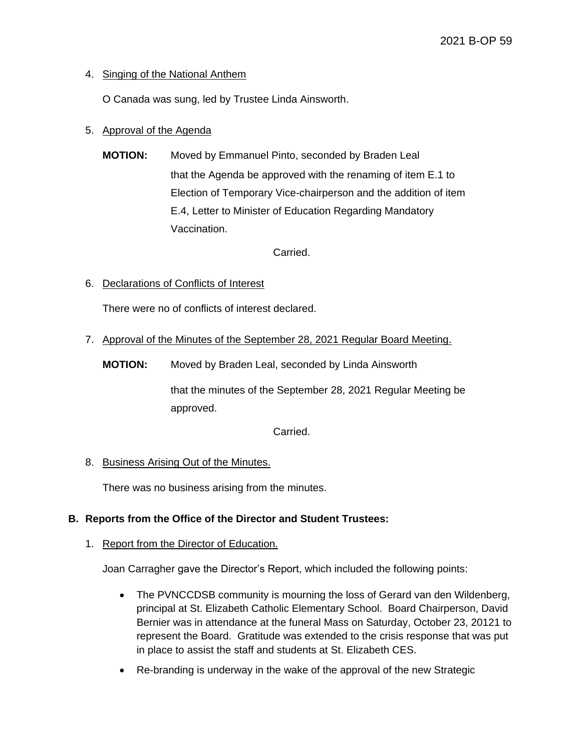# 4. Singing of the National Anthem

O Canada was sung, led by Trustee Linda Ainsworth.

# 5. Approval of the Agenda

**MOTION:** Moved by Emmanuel Pinto, seconded by Braden Leal that the Agenda be approved with the renaming of item E.1 to Election of Temporary Vice-chairperson and the addition of item E.4, Letter to Minister of Education Regarding Mandatory Vaccination.

Carried.

6. Declarations of Conflicts of Interest

There were no of conflicts of interest declared.

7. Approval of the Minutes of the September 28, 2021 Regular Board Meeting.

**MOTION:** Moved by Braden Leal, seconded by Linda Ainsworth

that the minutes of the September 28, 2021 Regular Meeting be approved.

Carried.

### 8. Business Arising Out of the Minutes.

There was no business arising from the minutes.

# **B. Reports from the Office of the Director and Student Trustees:**

### 1. Report from the Director of Education.

Joan Carragher gave the Director's Report, which included the following points:

- The PVNCCDSB community is mourning the loss of Gerard van den Wildenberg, principal at St. Elizabeth Catholic Elementary School. Board Chairperson, David Bernier was in attendance at the funeral Mass on Saturday, October 23, 20121 to represent the Board. Gratitude was extended to the crisis response that was put in place to assist the staff and students at St. Elizabeth CES.
- Re-branding is underway in the wake of the approval of the new Strategic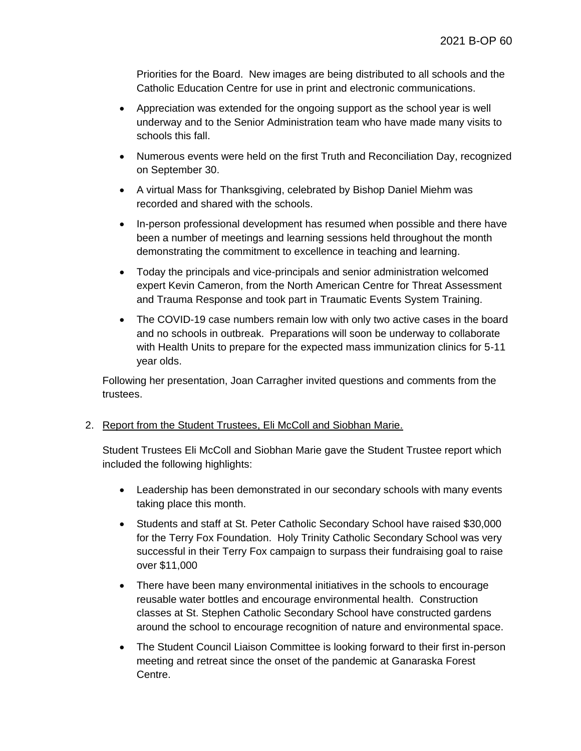Priorities for the Board. New images are being distributed to all schools and the Catholic Education Centre for use in print and electronic communications.

- Appreciation was extended for the ongoing support as the school year is well underway and to the Senior Administration team who have made many visits to schools this fall.
- Numerous events were held on the first Truth and Reconciliation Day, recognized on September 30.
- A virtual Mass for Thanksgiving, celebrated by Bishop Daniel Miehm was recorded and shared with the schools.
- In-person professional development has resumed when possible and there have been a number of meetings and learning sessions held throughout the month demonstrating the commitment to excellence in teaching and learning.
- Today the principals and vice-principals and senior administration welcomed expert Kevin Cameron, from the North American Centre for Threat Assessment and Trauma Response and took part in Traumatic Events System Training.
- The COVID-19 case numbers remain low with only two active cases in the board and no schools in outbreak. Preparations will soon be underway to collaborate with Health Units to prepare for the expected mass immunization clinics for 5-11 year olds.

Following her presentation, Joan Carragher invited questions and comments from the trustees.

### 2. Report from the Student Trustees, Eli McColl and Siobhan Marie.

Student Trustees Eli McColl and Siobhan Marie gave the Student Trustee report which included the following highlights:

- Leadership has been demonstrated in our secondary schools with many events taking place this month.
- Students and staff at St. Peter Catholic Secondary School have raised \$30,000 for the Terry Fox Foundation. Holy Trinity Catholic Secondary School was very successful in their Terry Fox campaign to surpass their fundraising goal to raise over \$11,000
- There have been many environmental initiatives in the schools to encourage reusable water bottles and encourage environmental health. Construction classes at St. Stephen Catholic Secondary School have constructed gardens around the school to encourage recognition of nature and environmental space.
- The Student Council Liaison Committee is looking forward to their first in-person meeting and retreat since the onset of the pandemic at Ganaraska Forest Centre.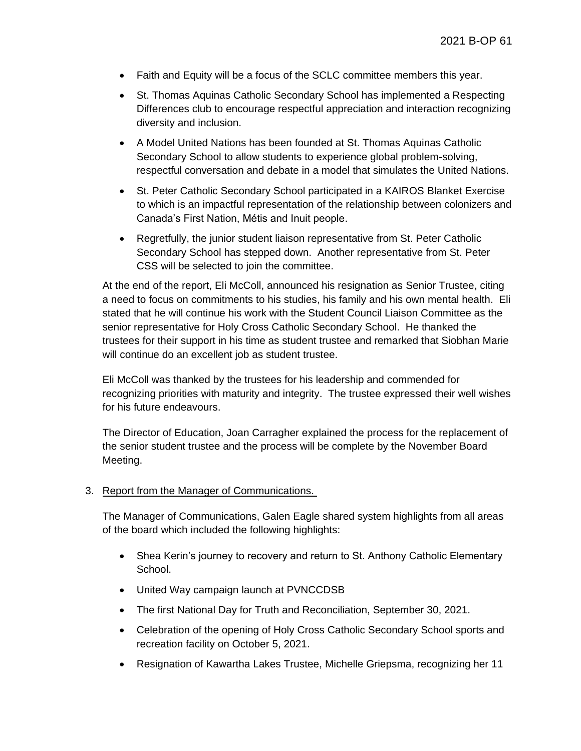- Faith and Equity will be a focus of the SCLC committee members this year.
- St. Thomas Aquinas Catholic Secondary School has implemented a Respecting Differences club to encourage respectful appreciation and interaction recognizing diversity and inclusion.
- A Model United Nations has been founded at St. Thomas Aquinas Catholic Secondary School to allow students to experience global problem-solving, respectful conversation and debate in a model that simulates the United Nations.
- St. Peter Catholic Secondary School participated in a KAIROS Blanket Exercise to which is an impactful representation of the relationship between colonizers and Canada's First Nation, Métis and Inuit people.
- Regretfully, the junior student liaison representative from St. Peter Catholic Secondary School has stepped down. Another representative from St. Peter CSS will be selected to join the committee.

At the end of the report, Eli McColl, announced his resignation as Senior Trustee, citing a need to focus on commitments to his studies, his family and his own mental health. Eli stated that he will continue his work with the Student Council Liaison Committee as the senior representative for Holy Cross Catholic Secondary School. He thanked the trustees for their support in his time as student trustee and remarked that Siobhan Marie will continue do an excellent job as student trustee.

Eli McColl was thanked by the trustees for his leadership and commended for recognizing priorities with maturity and integrity. The trustee expressed their well wishes for his future endeavours.

The Director of Education, Joan Carragher explained the process for the replacement of the senior student trustee and the process will be complete by the November Board Meeting.

### 3. Report from the Manager of Communications.

The Manager of Communications, Galen Eagle shared system highlights from all areas of the board which included the following highlights:

- Shea Kerin's journey to recovery and return to St. Anthony Catholic Elementary School.
- United Way campaign launch at PVNCCDSB
- The first National Day for Truth and Reconciliation, September 30, 2021.
- Celebration of the opening of Holy Cross Catholic Secondary School sports and recreation facility on October 5, 2021.
- Resignation of Kawartha Lakes Trustee, Michelle Griepsma, recognizing her 11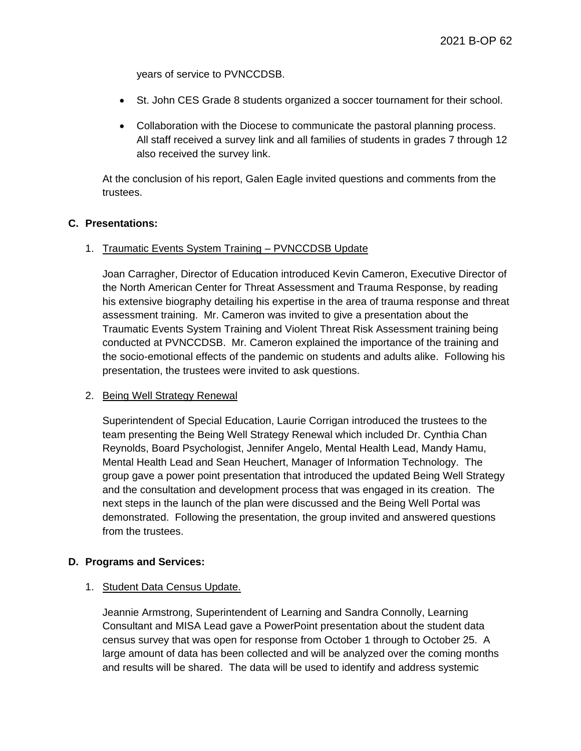years of service to PVNCCDSB.

- St. John CES Grade 8 students organized a soccer tournament for their school.
- Collaboration with the Diocese to communicate the pastoral planning process. All staff received a survey link and all families of students in grades 7 through 12 also received the survey link.

At the conclusion of his report, Galen Eagle invited questions and comments from the trustees.

### **C. Presentations:**

#### 1. Traumatic Events System Training – PVNCCDSB Update

Joan Carragher, Director of Education introduced Kevin Cameron, Executive Director of the North American Center for Threat Assessment and Trauma Response, by reading his extensive biography detailing his expertise in the area of trauma response and threat assessment training. Mr. Cameron was invited to give a presentation about the Traumatic Events System Training and Violent Threat Risk Assessment training being conducted at PVNCCDSB. Mr. Cameron explained the importance of the training and the socio-emotional effects of the pandemic on students and adults alike. Following his presentation, the trustees were invited to ask questions.

### 2. Being Well Strategy Renewal

Superintendent of Special Education, Laurie Corrigan introduced the trustees to the team presenting the Being Well Strategy Renewal which included Dr. Cynthia Chan Reynolds, Board Psychologist, Jennifer Angelo, Mental Health Lead, Mandy Hamu, Mental Health Lead and Sean Heuchert, Manager of Information Technology. The group gave a power point presentation that introduced the updated Being Well Strategy and the consultation and development process that was engaged in its creation. The next steps in the launch of the plan were discussed and the Being Well Portal was demonstrated. Following the presentation, the group invited and answered questions from the trustees.

#### **D. Programs and Services:**

#### 1. Student Data Census Update.

Jeannie Armstrong, Superintendent of Learning and Sandra Connolly, Learning Consultant and MISA Lead gave a PowerPoint presentation about the student data census survey that was open for response from October 1 through to October 25. A large amount of data has been collected and will be analyzed over the coming months and results will be shared. The data will be used to identify and address systemic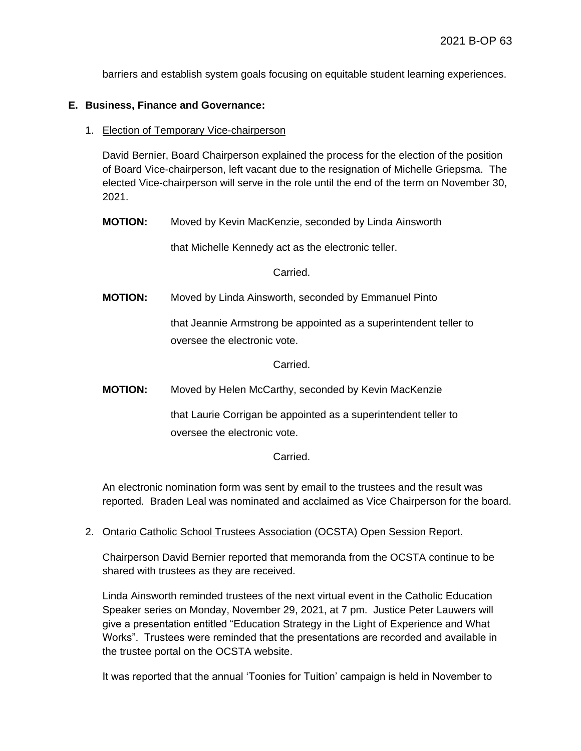barriers and establish system goals focusing on equitable student learning experiences.

### **E. Business, Finance and Governance:**

1. Election of Temporary Vice-chairperson

David Bernier, Board Chairperson explained the process for the election of the position of Board Vice-chairperson, left vacant due to the resignation of Michelle Griepsma. The elected Vice-chairperson will serve in the role until the end of the term on November 30, 2021.

**MOTION:** Moved by Kevin MacKenzie, seconded by Linda Ainsworth

that Michelle Kennedy act as the electronic teller.

Carried.

**MOTION:** Moved by Linda Ainsworth, seconded by Emmanuel Pinto

that Jeannie Armstrong be appointed as a superintendent teller to oversee the electronic vote.

Carried.

**MOTION:** Moved by Helen McCarthy, seconded by Kevin MacKenzie

that Laurie Corrigan be appointed as a superintendent teller to oversee the electronic vote.

**Carried** 

An electronic nomination form was sent by email to the trustees and the result was reported. Braden Leal was nominated and acclaimed as Vice Chairperson for the board.

2. Ontario Catholic School Trustees Association (OCSTA) Open Session Report.

Chairperson David Bernier reported that memoranda from the OCSTA continue to be shared with trustees as they are received.

Linda Ainsworth reminded trustees of the next virtual event in the Catholic Education Speaker series on Monday, November 29, 2021, at 7 pm. Justice Peter Lauwers will give a presentation entitled "Education Strategy in the Light of Experience and What Works". Trustees were reminded that the presentations are recorded and available in the trustee portal on the OCSTA website.

It was reported that the annual 'Toonies for Tuition' campaign is held in November to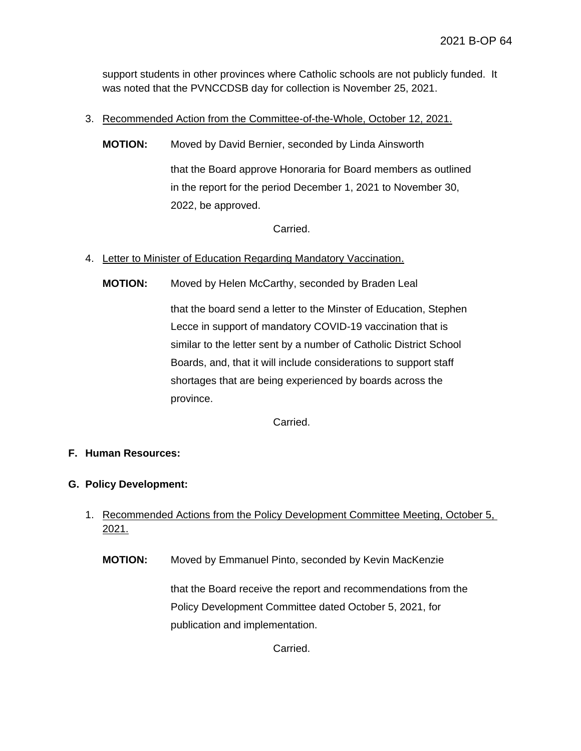support students in other provinces where Catholic schools are not publicly funded. It was noted that the PVNCCDSB day for collection is November 25, 2021.

- 3. Recommended Action from the Committee-of-the-Whole, October 12, 2021.
	- **MOTION:** Moved by David Bernier, seconded by Linda Ainsworth that the Board approve Honoraria for Board members as outlined

in the report for the period December 1, 2021 to November 30, 2022, be approved.

Carried.

- 4. Letter to Minister of Education Regarding Mandatory Vaccination.
	- **MOTION:** Moved by Helen McCarthy, seconded by Braden Leal

that the board send a letter to the Minster of Education, Stephen Lecce in support of mandatory COVID-19 vaccination that is similar to the letter sent by a number of Catholic District School Boards, and, that it will include considerations to support staff shortages that are being experienced by boards across the province.

Carried.

### **F. Human Resources:**

- **G. Policy Development:**
	- 1. Recommended Actions from the Policy Development Committee Meeting, October 5, 2021.
		- **MOTION:** Moved by Emmanuel Pinto, seconded by Kevin MacKenzie

that the Board receive the report and recommendations from the Policy Development Committee dated October 5, 2021, for publication and implementation.

Carried.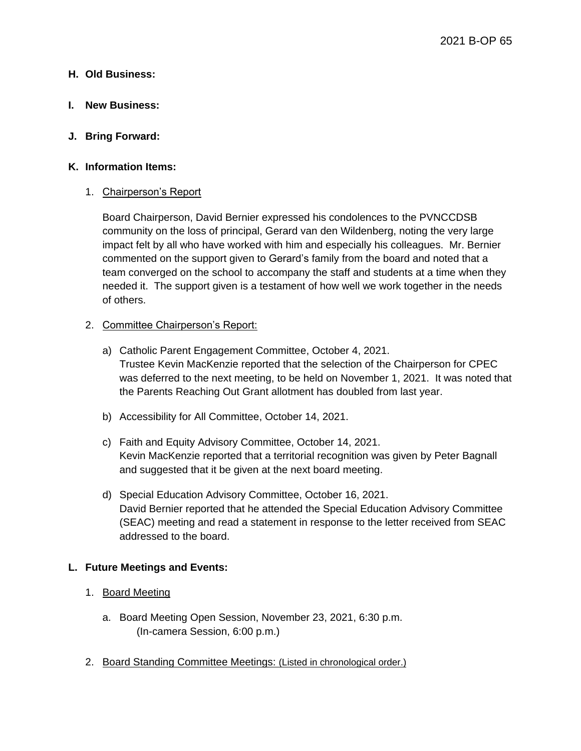### **H. Old Business:**

**I. New Business:** 

### **J. Bring Forward:**

### **K. Information Items:**

### 1. Chairperson's Report

Board Chairperson, David Bernier expressed his condolences to the PVNCCDSB community on the loss of principal, Gerard van den Wildenberg, noting the very large impact felt by all who have worked with him and especially his colleagues. Mr. Bernier commented on the support given to Gerard's family from the board and noted that a team converged on the school to accompany the staff and students at a time when they needed it. The support given is a testament of how well we work together in the needs of others.

### 2. Committee Chairperson's Report:

- a) Catholic Parent Engagement Committee, October 4, 2021. Trustee Kevin MacKenzie reported that the selection of the Chairperson for CPEC was deferred to the next meeting, to be held on November 1, 2021. It was noted that the Parents Reaching Out Grant allotment has doubled from last year.
- b) Accessibility for All Committee, October 14, 2021.
- c) Faith and Equity Advisory Committee, October 14, 2021. Kevin MacKenzie reported that a territorial recognition was given by Peter Bagnall and suggested that it be given at the next board meeting.
- d) Special Education Advisory Committee, October 16, 2021. David Bernier reported that he attended the Special Education Advisory Committee (SEAC) meeting and read a statement in response to the letter received from SEAC addressed to the board.

### **L. Future Meetings and Events:**

### 1. Board Meeting

- a. Board Meeting Open Session, November 23, 2021, 6:30 p.m. (In-camera Session, 6:00 p.m.)
- 2. Board Standing Committee Meetings: (Listed in chronological order.)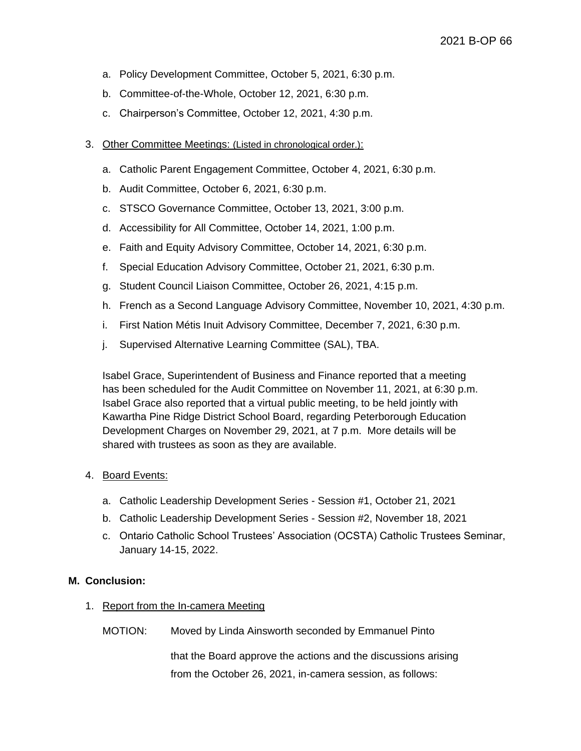- a. Policy Development Committee, October 5, 2021, 6:30 p.m.
- b. Committee-of-the-Whole, October 12, 2021, 6:30 p.m.
- c. Chairperson's Committee, October 12, 2021, 4:30 p.m.
- 3. Other Committee Meetings: (Listed in chronological order.):
	- a. Catholic Parent Engagement Committee, October 4, 2021, 6:30 p.m.
	- b. Audit Committee, October 6, 2021, 6:30 p.m.
	- c. STSCO Governance Committee, October 13, 2021, 3:00 p.m.
	- d. Accessibility for All Committee, October 14, 2021, 1:00 p.m.
	- e. Faith and Equity Advisory Committee, October 14, 2021, 6:30 p.m.
	- f. Special Education Advisory Committee, October 21, 2021, 6:30 p.m.
	- g. Student Council Liaison Committee, October 26, 2021, 4:15 p.m.
	- h. French as a Second Language Advisory Committee, November 10, 2021, 4:30 p.m.
	- i. First Nation Métis Inuit Advisory Committee, December 7, 2021, 6:30 p.m.
	- j. Supervised Alternative Learning Committee (SAL), TBA.

Isabel Grace, Superintendent of Business and Finance reported that a meeting has been scheduled for the Audit Committee on November 11, 2021, at 6:30 p.m. Isabel Grace also reported that a virtual public meeting, to be held jointly with Kawartha Pine Ridge District School Board, regarding Peterborough Education Development Charges on November 29, 2021, at 7 p.m. More details will be shared with trustees as soon as they are available.

### 4. Board Events:

- a. Catholic Leadership Development Series Session #1, October 21, 2021
- b. Catholic Leadership Development Series Session #2, November 18, 2021
- c. Ontario Catholic School Trustees' Association (OCSTA) Catholic Trustees Seminar, January 14-15, 2022.

#### **M. Conclusion:**

1. Report from the In-camera Meeting

MOTION: Moved by Linda Ainsworth seconded by Emmanuel Pinto

that the Board approve the actions and the discussions arising from the October 26, 2021, in-camera session, as follows: